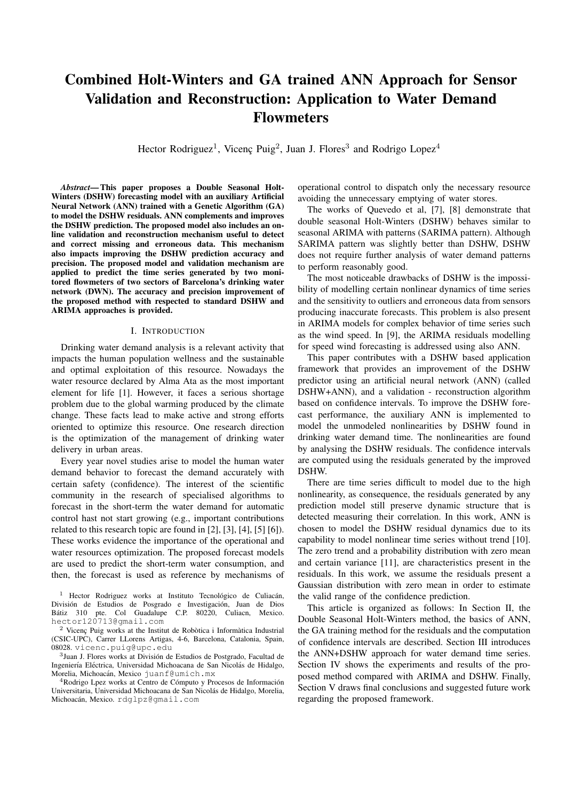# **Combined Holt-Winters and GA trained ANN Approach for Sensor** Validation and Reconstruction: Application to Water Demand **Flowmeters**

Hector Rodriguez<sup>1</sup>, Vicenç Puig<sup>2</sup>, Juan J. Flores<sup>3</sup> and Rodrigo Lopez<sup>4</sup>

Abstract-This paper proposes a Double Seasonal Holt-Winters (DSHW) forecasting model with an auxiliary Artificial Neural Network (ANN) trained with a Genetic Algorithm (GA) to model the DSHW residuals. ANN complements and improves the DSHW prediction. The proposed model also includes an online validation and reconstruction mechanism useful to detect and correct missing and erroneous data. This mechanism also impacts improving the DSHW prediction accuracy and precision. The proposed model and validation mechanism are applied to predict the time series generated by two monitored flowmeters of two sectors of Barcelona's drinking water network (DWN). The accuracy and precision improvement of the proposed method with respected to standard DSHW and ARIMA approaches is provided.

## I. INTRODUCTION

Drinking water demand analysis is a relevant activity that impacts the human population wellness and the sustainable and optimal exploitation of this resource. Nowadays the water resource declared by Alma Ata as the most important element for life [1]. However, it faces a serious shortage problem due to the global warming produced by the climate change. These facts lead to make active and strong efforts oriented to optimize this resource. One research direction is the optimization of the management of drinking water delivery in urban areas.

Every year novel studies arise to model the human water demand behavior to forecast the demand accurately with certain safety (confidence). The interest of the scientific community in the research of specialised algorithms to forecast in the short-term the water demand for automatic control hast not start growing (e.g., important contributions related to this research topic are found in  $[2]$ ,  $[3]$ ,  $[4]$ ,  $[5]$   $[6]$ ). These works evidence the importance of the operational and water resources optimization. The proposed forecast models are used to predict the short-term water consumption, and then, the forecast is used as reference by mechanisms of

operational control to dispatch only the necessary resource avoiding the unnecessary emptying of water stores.

The works of Quevedo et al, [7], [8] demonstrate that double seasonal Holt-Winters (DSHW) behaves similar to seasonal ARIMA with patterns (SARIMA pattern). Although SARIMA pattern was slightly better than DSHW, DSHW does not require further analysis of water demand patterns to perform reasonably good.

The most noticeable drawbacks of DSHW is the impossibility of modelling certain nonlinear dynamics of time series and the sensitivity to outliers and erroneous data from sensors producing inaccurate forecasts. This problem is also present in ARIMA models for complex behavior of time series such as the wind speed. In [9], the ARIMA residuals modelling for speed wind forecasting is addressed using also ANN.

This paper contributes with a DSHW based application framework that provides an improvement of the DSHW predictor using an artificial neural network (ANN) (called DSHW+ANN), and a validation - reconstruction algorithm based on confidence intervals. To improve the DSHW forecast performance, the auxiliary ANN is implemented to model the unmodeled nonlinearities by DSHW found in drinking water demand time. The nonlinearities are found by analysing the DSHW residuals. The confidence intervals are computed using the residuals generated by the improved DSHW.

There are time series difficult to model due to the high nonlinearity, as consequence, the residuals generated by any prediction model still preserve dynamic structure that is detected measuring their correlation. In this work, ANN is chosen to model the DSHW residual dynamics due to its capability to model nonlinear time series without trend [10]. The zero trend and a probability distribution with zero mean and certain variance [11], are characteristics present in the residuals. In this work, we assume the residuals present a Gaussian distribution with zero mean in order to estimate the valid range of the confidence prediction.

This article is organized as follows: In Section II, the Double Seasonal Holt-Winters method, the basics of ANN, the GA training method for the residuals and the computation of confidence intervals are described. Section III introduces the ANN+DSHW approach for water demand time series. Section IV shows the experiments and results of the proposed method compared with ARIMA and DSHW. Finally, Section V draws final conclusions and suggested future work regarding the proposed framework.

<sup>&</sup>lt;sup>1</sup> Hector Rodriguez works at Instituto Tecnológico de Culiacán, División de Estudios de Posgrado e Investigación, Juan de Dios Bátiz 310 pte. Col Guadalupe C.P. 80220, Culiacn, Mexico. hector120713@qmail.com

<sup>&</sup>lt;sup>2</sup> Vicenç Puig works at the Institut de Robòtica i Informàtica Industrial (CSIC-UPC), Carrer LLorens Artigas, 4-6, Barcelona, Catalonia, Spain, 08028. vicenc.puig@upc.edu

<sup>&</sup>lt;sup>3</sup>Juan J. Flores works at División de Estudios de Postgrado, Facultad de Ingeniería Eléctrica, Universidad Michoacana de San Nicolás de Hidalgo, Morelia, Michoacán, Mexico juanf@umich.mx

<sup>&</sup>lt;sup>4</sup>Rodrigo Lpez works at Centro de Cómputo y Procesos de Información Universitaria, Universidad Michoacana de San Nicolás de Hidalgo, Morelia, Michoacán, Mexico. rdglpz@gmail.com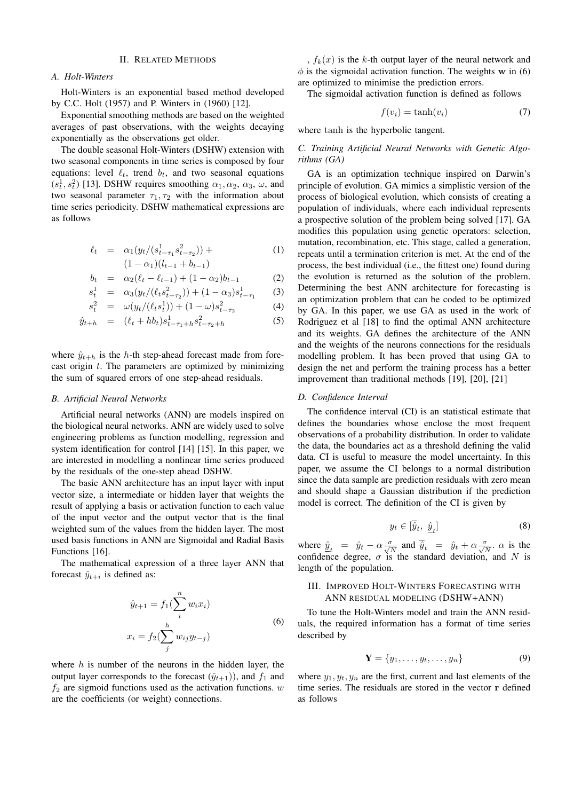## **II. RELATED METHODS**

# A. Holt-Winters

Holt-Winters is an exponential based method developed by C.C. Holt (1957) and P. Winters in (1960) [12].

Exponential smoothing methods are based on the weighted averages of past observations, with the weights decaying exponentially as the observations get older.

The double seasonal Holt-Winters (DSHW) extension with two seasonal components in time series is composed by four equations: level  $\ell_t$ , trend  $b_t$ , and two seasonal equations  $(s_t^1, s_t^2)$  [13]. DSHW requires smoothing  $\alpha_1, \alpha_2, \alpha_3, \omega$ , and two seasonal parameter  $\tau_1, \tau_2$  with the information about time series periodicity. DSHW mathematical expressions are as follows

$$
\ell_t = \alpha_1(y_t/(s_{t-\tau_1}^1 s_{t-\tau_2}^2)) +
$$
\n
$$
(1 - \alpha_1)(l_{t-1} + h_{t-1})
$$
\n(1)

$$
b_t = \alpha_2(\ell_t - \ell_{t-1}) + (1 - \alpha_2)b_{t-1}
$$

$$
s_t^1 = \alpha_3(y_t/(\ell_t s_{t-\tau_2}^2)) + (1-\alpha_3)s_{t-\tau_1}^1 \qquad (3)
$$

$$
s_t^2 = \omega(y_t/(\ell_t s_t^1)) + (1 - \omega)s_{t-\tau_2}^2 \tag{4}
$$

$$
\hat{y}_{t+h} = (\ell_t + hb_t)s_{t-\tau_1+h}^1 s_{t-\tau_2+h}^2 \tag{5}
$$

where  $\hat{y}_{t+h}$  is the *h*-th step-ahead forecast made from forecast origin  $t$ . The parameters are optimized by minimizing the sum of squared errors of one step-ahead residuals.

## **B.** Artificial Neural Networks

Artificial neural networks (ANN) are models inspired on the biological neural networks. ANN are widely used to solve engineering problems as function modelling, regression and system identification for control [14] [15]. In this paper, we are interested in modelling a nonlinear time series produced by the residuals of the one-step ahead DSHW.

The basic ANN architecture has an input layer with input vector size, a intermediate or hidden layer that weights the result of applying a basis or activation function to each value of the input vector and the output vector that is the final weighted sum of the values from the hidden layer. The most used basis functions in ANN are Sigmoidal and Radial Basis Functions [16].

The mathematical expression of a three layer ANN that forecast  $\hat{y}_{t+i}$  is defined as:

$$
\hat{y}_{t+1} = f_1(\sum_{i}^{n} w_i x_i)
$$
  

$$
x_i = f_2(\sum_{j}^{h} w_{ij} y_{t-j})
$$
 (6)

where  $h$  is number of the neurons in the hidden layer, the output layer corresponds to the forecast  $(\hat{y}_{t+1})$ , and  $f_1$  and  $f_2$  are sigmoid functions used as the activation functions. w are the coefficients (or weight) connections.

,  $f_k(x)$  is the k-th output layer of the neural network and  $\phi$  is the sigmoidal activation function. The weights w in (6) are optimized to minimise the prediction errors.

The sigmoidal activation function is defined as follows

$$
f(v_i) = \tanh(v_i) \tag{7}
$$

where tanh is the hyperbolic tangent.

# C. Training Artificial Neural Networks with Genetic Algorithms (GA)

GA is an optimization technique inspired on Darwin's principle of evolution. GA mimics a simplistic version of the process of biological evolution, which consists of creating a population of individuals, where each individual represents a prospective solution of the problem being solved [17]. GA modifies this population using genetic operators: selection, mutation, recombination, etc. This stage, called a generation, repeats until a termination criterion is met. At the end of the process, the best individual (i.e., the fittest one) found during the evolution is returned as the solution of the problem. Determining the best ANN architecture for forecasting is an optimization problem that can be coded to be optimized by GA. In this paper, we use GA as used in the work of Rodriguez et al [18] to find the optimal ANN architecture and its weights. GA defines the architecture of the ANN and the weights of the neurons connections for the residuals modelling problem. It has been proved that using GA to design the net and perform the training process has a better improvement than traditional methods [19], [20], [21]

#### D. Confidence Interval

 $(2)$ 

The confidence interval (CI) is an statistical estimate that defines the boundaries whose enclose the most frequent observations of a probability distribution. In order to validate the data, the boundaries act as a threshold defining the valid data. CI is useful to measure the model uncertainty. In this paper, we assume the CI belongs to a normal distribution since the data sample are prediction residuals with zero mean and should shape a Gaussian distribution if the prediction model is correct. The definition of the CI is given by

$$
y_t \in [\overline{\hat{y}}_t, \ \hat{y}_t] \tag{8}
$$

where  $\hat{y}_t = \hat{y}_t - \alpha \frac{\sigma}{\sqrt{N}}$  and  $\hat{y}_t = \hat{y}_t + \alpha \frac{\sigma}{\sqrt{N}}$ .  $\alpha$  is the confidence degree,  $\sigma$  is the standard deviation, and N is length of the population.

# III. IMPROVED HOLT-WINTERS FORECASTING WITH ANN RESIDUAL MODELING (DSHW+ANN)

To tune the Holt-Winters model and train the ANN residuals, the required information has a format of time series described by

$$
\mathbf{Y} = \{y_1, \dots, y_t, \dots, y_n\} \tag{9}
$$

where  $y_1, y_t, y_n$  are the first, current and last elements of the time series. The residuals are stored in the vector r defined as follows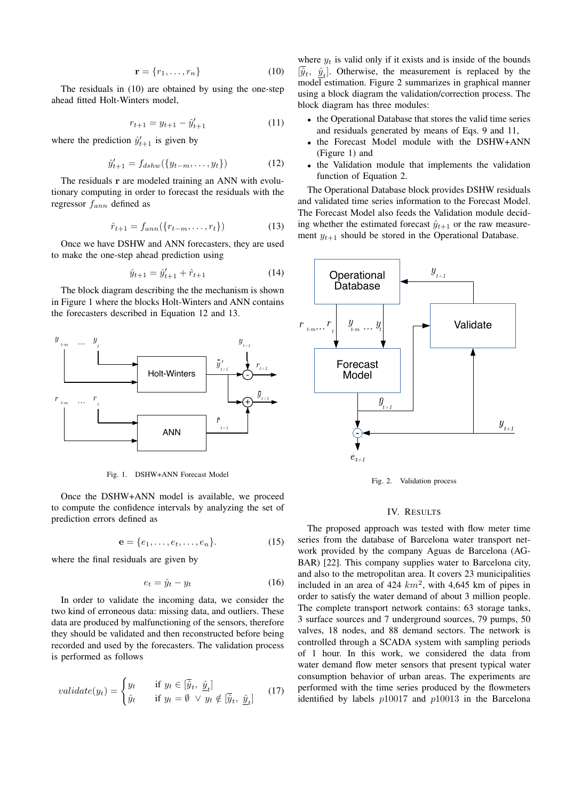$$
\mathbf{r} = \{r_1, \dots, r_n\} \tag{10}
$$

The residuals in (10) are obtained by using the one-step ahead fitted Holt-Winters model,

$$
r_{t+1} = y_{t+1} - \hat{y}'_{t+1} \tag{11}
$$

where the prediction  $\hat{y}'_{t+1}$  is given by

$$
\hat{y}'_{t+1} = f_{dshw}(\{y_{t-m}, \dots, y_t\})
$$
\n(12)

The residuals r are modeled training an ANN with evolutionary computing in order to forecast the residuals with the regressor  $f_{ann}$  defined as

$$
\hat{r}_{t+1} = f_{ann}(\{r_{t-m}, \dots, r_t\})
$$
\n(13)

Once we have DSHW and ANN forecasters, they are used to make the one-step ahead prediction using

$$
\hat{y}_{t+1} = \hat{y}'_{t+1} + \hat{r}_{t+1} \tag{14}
$$

The block diagram describing the the mechanism is shown in Figure 1 where the blocks Holt-Winters and ANN contains the forecasters described in Equation 12 and 13.



Fig. 1. DSHW+ANN Forecast Model

Once the DSHW+ANN model is available, we proceed to compute the confidence intervals by analyzing the set of prediction errors defined as

$$
\mathbf{e} = \{e_1, \dots, e_t, \dots, e_n\}.
$$
 (15)

where the final residuals are given by

$$
e_t = \hat{y}_t - y_t \tag{16}
$$

In order to validate the incoming data, we consider the two kind of erroneous data: missing data, and outliers. These data are produced by malfunctioning of the sensors, therefore they should be validated and then reconstructed before being recorded and used by the forecasters. The validation process is performed as follows

$$
validate(y_t) = \begin{cases} y_t & \text{if } y_t \in [\overline{\hat{y}}_t, \ \hat{y}_t] \\ \hat{y}_t & \text{if } y_t = \emptyset \ \lor y_t \notin [\overline{\hat{y}}_t, \ \hat{y}_t] \end{cases} \tag{17}
$$

where  $y_t$  is valid only if it exists and is inside of the bounds  $[\hat{y}_t, \hat{y}_t]$ . Otherwise, the measurement is replaced by the model estimation. Figure 2 summarizes in graphical manner using a block diagram the validation/correction process. The block diagram has three modules:

- the Operational Database that stores the valid time series and residuals generated by means of Eqs. 9 and 11,
- the Forecast Model module with the DSHW+ANN (Figure 1) and
- the Validation module that implements the validation function of Equation 2.

The Operational Database block provides DSHW residuals and validated time series information to the Forecast Model. The Forecast Model also feeds the Validation module deciding whether the estimated forecast  $\hat{y}_{t+1}$  or the raw measurement  $y_{t+1}$  should be stored in the Operational Database.



Fig. 2. Validation process

#### IV. RESULTS

The proposed approach was tested with flow meter time series from the database of Barcelona water transport network provided by the company Aguas de Barcelona (AG-BAR) [22]. This company supplies water to Barcelona city, and also to the metropolitan area. It covers 23 municipalities included in an area of 424  $km^2$ , with 4,645 km of pipes in order to satisfy the water demand of about 3 million people. The complete transport network contains: 63 storage tanks, 3 surface sources and 7 underground sources, 79 pumps, 50 valves, 18 nodes, and 88 demand sectors. The network is controlled through a SCADA system with sampling periods of 1 hour. In this work, we considered the data from water demand flow meter sensors that present typical water consumption behavior of urban areas. The experiments are performed with the time series produced by the flowmeters identified by labels  $p10017$  and  $p10013$  in the Barcelona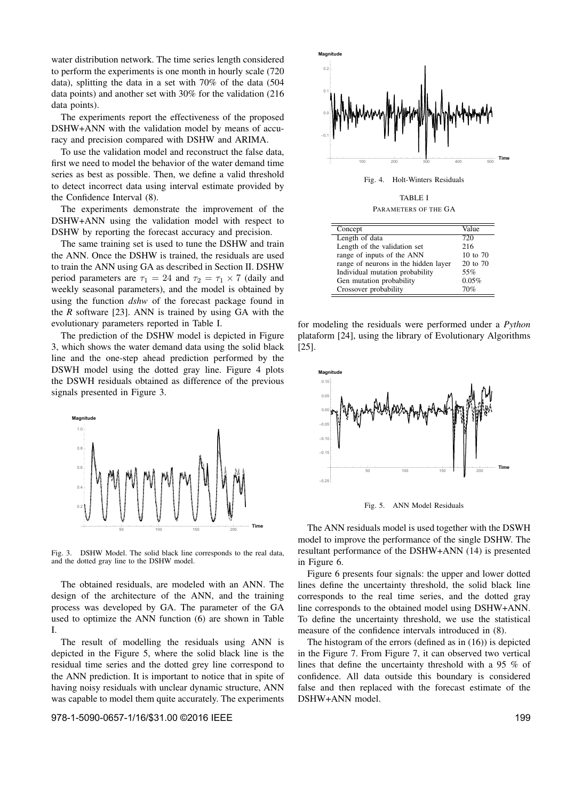water distribution network. The time series length considered to perform the experiments is one month in hourly scale (720 data), splitting the data in a set with 70% of the data (504 data points) and another set with 30% for the validation (216 data points).

The experiments report the effectiveness of the proposed DSHW+ANN with the validation model by means of accuracy and precision compared with DSHW and ARIMA.

To use the validation model and reconstruct the false data, first we need to model the behavior of the water demand time series as best as possible. Then, we define a valid threshold to detect incorrect data using interval estimate provided by the Confidence Interval (8).

The experiments demonstrate the improvement of the DSHW+ANN using the validation model with respect to DSHW by reporting the forecast accuracy and precision.

The same training set is used to tune the DSHW and train the ANN. Once the DSHW is trained, the residuals are used to train the ANN using GA as described in Section II. DSHW period parameters are  $\tau_1 = 24$  and  $\tau_2 = \tau_1 \times 7$  (daily and weekly seasonal parameters), and the model is obtained by using the function *dshw* of the forecast package found in the *R* software [23]. ANN is trained by using GA with the evolutionary parameters reported in Table I.

The prediction of the DSHW model is depicted in Figure 3, which shows the water demand data using the solid black line and the one-step ahead prediction performed by the DSWH model using the dotted gray line. Figure 4 plots the DSWH residuals obtained as difference of the previous signals presented in Figure 3.



Fig. 3. DSHW Model. The solid black line corresponds to the real data, and the dotted gray line to the DSHW model.

The obtained residuals, are modeled with an ANN. The design of the architecture of the ANN, and the training process was developed by GA. The parameter of the GA used to optimize the ANN function (6) are shown in Table I.

The result of modelling the residuals using ANN is depicted in the Figure 5, where the solid black line is the residual time series and the dotted grey line correspond to the ANN prediction. It is important to notice that in spite of having noisy residuals with unclear dynamic structure, ANN was capable to model them quite accurately. The experiments

## 978-1-5090-0657-1/16/\$31.00 ©2016 IEEE 199



Fig. 4. Holt-Winters Residuals

TABLE I PARAMETERS OF THE GA

| Value               |
|---------------------|
| 720                 |
| 216                 |
| $10 \text{ to } 70$ |
| $20$ to $70$        |
| 55%                 |
| 0.05%               |
| 70%                 |
|                     |

for modeling the residuals were performed under a *Python* plataform [24], using the library of Evolutionary Algorithms [25].



Fig. 5. ANN Model Residuals

The ANN residuals model is used together with the DSWH model to improve the performance of the single DSHW. The resultant performance of the DSHW+ANN (14) is presented in Figure 6.

Figure 6 presents four signals: the upper and lower dotted lines define the uncertainty threshold, the solid black line corresponds to the real time series, and the dotted gray line corresponds to the obtained model using DSHW+ANN. To define the uncertainty threshold, we use the statistical measure of the confidence intervals introduced in (8).

The histogram of the errors (defined as in (16)) is depicted in the Figure 7. From Figure 7, it can observed two vertical lines that define the uncertainty threshold with a 95 % of confidence. All data outside this boundary is considered false and then replaced with the forecast estimate of the DSHW+ANN model.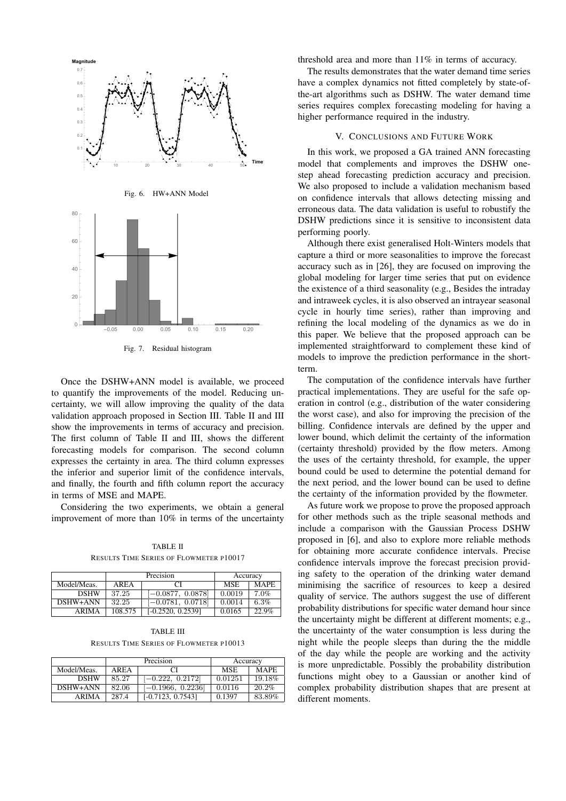

Fig. 7. Residual histogram

Once the DSHW+ANN model is available, we proceed to quantify the improvements of the model. Reducing uncertainty, we will allow improving the quality of the data validation approach proposed in Section III. Table II and III show the improvements in terms of accuracy and precision. The first column of Table II and III, shows the different forecasting models for comparison. The second column expresses the certainty in area. The third column expresses the inferior and superior limit of the confidence intervals, and finally, the fourth and fifth column report the accuracy in terms of MSE and MAPE.

Considering the two experiments, we obtain a general improvement of more than 10% in terms of the uncertainty

**TABLE II** RESULTS TIME SERIES OF FLOWMETER P10017

|              | Precision |                     | Accuracy |             |
|--------------|-----------|---------------------|----------|-------------|
| Model/Meas.  | AREA      |                     | MSE.     | <b>MAPE</b> |
| <b>DSHW</b>  | 37.25     | $[-0.0877, 0.0878]$ | 0.0019   | $7.0\%$     |
| DSHW+ANN     | 32.25     | $-0.0781, 0.0718$   | 0.0014   | 6.3%        |
| <b>ARIMA</b> | 108.575   | $[-0.2520, 0.2539]$ | 0.0165   | 22.9%       |

**TARLE III RESULTS TIME SERIES OF FLOWMETER P10013** 

|              | Precision |                     | Accuracy   |             |
|--------------|-----------|---------------------|------------|-------------|
| Model/Meas.  | AREA      | ΩT                  | <b>MSE</b> | <b>MAPE</b> |
| <b>DSHW</b>  | 85.27     | $[-0.222, 0.2172]$  | 0.01251    | 19.18%      |
| DSHW+ANN     | 82.06     | $[-0.1966, 0.2236]$ | 0.0116     | 20.2%       |
| <b>ARIMA</b> | 287.4     | $[-0.7123, 0.7543]$ | 0.1397     | 83.89%      |

threshold area and more than  $11\%$  in terms of accuracy.

The results demonstrates that the water demand time series have a complex dynamics not fitted completely by state-ofthe-art algorithms such as DSHW. The water demand time series requires complex forecasting modeling for having a higher performance required in the industry.

## V. CONCLUSIONS AND FUTURE WORK

In this work, we proposed a GA trained ANN forecasting model that complements and improves the DSHW onestep ahead forecasting prediction accuracy and precision. We also proposed to include a validation mechanism based on confidence intervals that allows detecting missing and erroneous data. The data validation is useful to robustify the DSHW predictions since it is sensitive to inconsistent data performing poorly.

Although there exist generalised Holt-Winters models that capture a third or more seasonalities to improve the forecast accuracy such as in [26], they are focused on improving the global modeling for larger time series that put on evidence the existence of a third seasonality (e.g., Besides the intraday and intraweek cycles, it is also observed an intrayear seasonal cycle in hourly time series), rather than improving and refining the local modeling of the dynamics as we do in this paper. We believe that the proposed approach can be implemented straightforward to complement these kind of models to improve the prediction performance in the shortterm.

The computation of the confidence intervals have further practical implementations. They are useful for the safe operation in control (e.g., distribution of the water considering the worst case), and also for improving the precision of the billing. Confidence intervals are defined by the upper and lower bound, which delimit the certainty of the information (certainty threshold) provided by the flow meters. Among the uses of the certainty threshold, for example, the upper bound could be used to determine the potential demand for the next period, and the lower bound can be used to define the certainty of the information provided by the flowmeter.

As future work we propose to prove the proposed approach for other methods such as the triple seasonal methods and include a comparison with the Gaussian Process DSHW proposed in [6], and also to explore more reliable methods for obtaining more accurate confidence intervals. Precise confidence intervals improve the forecast precision providing safety to the operation of the drinking water demand minimising the sacrifice of resources to keep a desired quality of service. The authors suggest the use of different probability distributions for specific water demand hour since the uncertainty might be different at different moments; e.g., the uncertainty of the water consumption is less during the night while the people sleeps than during the the middle of the day while the people are working and the activity is more unpredictable. Possibly the probability distribution functions might obey to a Gaussian or another kind of complex probability distribution shapes that are present at different moments.